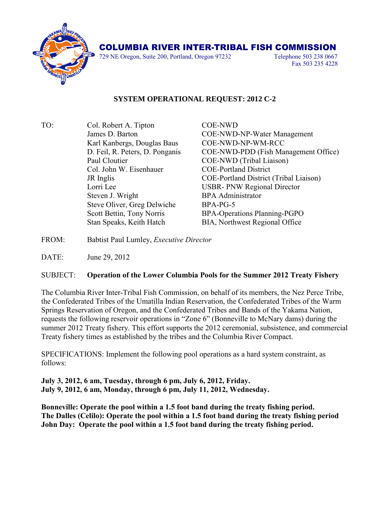

## COLUMBIA RIVER INTER-TRIBAL FISH COMMISSION

729 NE Oregon, Suite 200, Portland, Oregon 97232 Telephone 503 238 0667

Fax 503 235 4228

## **SYSTEM OPERATIONAL REQUEST: 2012 C-2**

TO: Col. Robert A. Tipton COE-NWD Karl Kanbergs, Douglas Baus COE-NWD-NP-WM-RCC Paul Cloutier COE-NWD (Tribal Liaison) Col. John W. Eisenhauer COE-Portland District Lorri Lee USBR- PNW Regional Director Steven J. Wright BPA Administrator Steve Oliver, Greg Delwiche BPA-PG-5 Scott Bettin, Tony Norris BPA-Operations Planning-PGPO Stan Speaks, Keith Hatch BIA, Northwest Regional Office

James D. Barton COE-NWD-NP-Water Management D. Feil, R. Peters, D. Ponganis COE-NWD-PDD (Fish Management Office) JR Inglis COE-Portland District (Tribal Liaison)

FROM: Babtist Paul Lumley, *Executive Director*

DATE: June 29, 2012

## SUBJECT: **Operation of the Lower Columbia Pools for the Summer 2012 Treaty Fishery**

The Columbia River Inter-Tribal Fish Commission, on behalf of its members, the Nez Perce Tribe, the Confederated Tribes of the Umatilla Indian Reservation, the Confederated Tribes of the Warm Springs Reservation of Oregon, and the Confederated Tribes and Bands of the Yakama Nation, requests the following reservoir operations in "Zone 6" (Bonneville to McNary dams) during the summer 2012 Treaty fishery. This effort supports the 2012 ceremonial, subsistence, and commercial Treaty fishery times as established by the tribes and the Columbia River Compact.

SPECIFICATIONS: Implement the following pool operations as a hard system constraint, as follows:

**July 3, 2012, 6 am, Tuesday, through 6 pm, July 6, 2012, Friday. July 9, 2012, 6 am, Monday, through 6 pm, July 11, 2012, Wednesday.**

**Bonneville: Operate the pool within a 1.5 foot band during the treaty fishing period. The Dalles (Celilo): Operate the pool within a 1.5 foot band during the treaty fishing period John Day: Operate the pool within a 1.5 foot band during the treaty fishing period.**